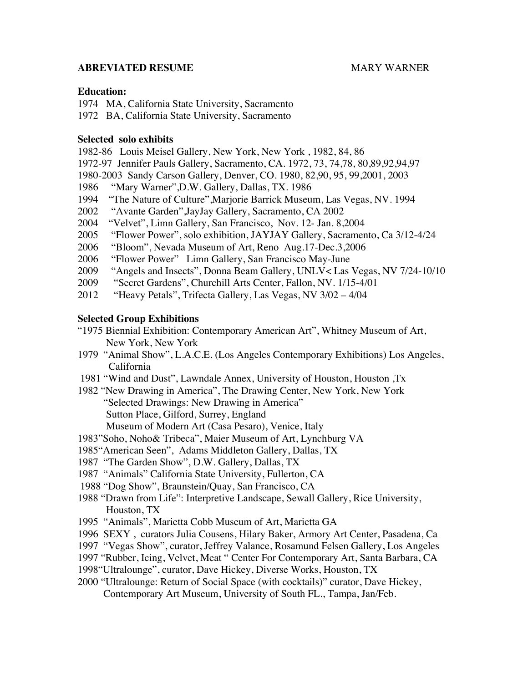#### **ABREVIATED RESUME CONSUMING MARY WARNER**

### **Education:**

1974 MA, California State University, Sacramento

1972 BA, California State University, Sacramento

### **Selected solo exhibits**

- 1982-86 Louis Meisel Gallery, New York, New York , 1982, 84, 86
- 1972-97 Jennifer Pauls Gallery, Sacramento, CA. 1972, 73, 74,78, 80,89,92,94,97
- 1980-2003 Sandy Carson Gallery, Denver, CO. 1980, 82,90, 95, 99,2001, 2003
- 1986 "Mary Warner",D.W. Gallery, Dallas, TX. 1986
- 1994 "The Nature of Culture",Marjorie Barrick Museum, Las Vegas, NV. 1994
- 2002 "Avante Garden",JayJay Gallery, Sacramento, CA 2002
- 2004 "Velvet", Limn Gallery, San Francisco, Nov. 12- Jan. 8,2004
- 2005 "Flower Power", solo exhibition, JAYJAY Gallery, Sacramento, Ca 3/12-4/24
- 2006 "Bloom", Nevada Museum of Art, Reno Aug.17-Dec.3,2006<br>2006 "Flower Power" Limn Gallery. San Francisco May-June
- "Flower Power" Limn Gallery, San Francisco May-June
- 2009 "Angels and Insects", Donna Beam Gallery, UNLV< Las Vegas, NV 7/24-10/10
- 2009 "Secret Gardens", Churchill Arts Center, Fallon, NV. 1/15-4/01
- 2012 "Heavy Petals", Trifecta Gallery, Las Vegas, NV 3/02 4/04

### **Selected Group Exhibitions**

- "1975 Biennial Exhibition: Contemporary American Art", Whitney Museum of Art, New York, New York
- 1979 "Animal Show", L.A.C.E. (Los Angeles Contemporary Exhibitions) Los Angeles, California
- 1981 "Wind and Dust", Lawndale Annex, University of Houston, Houston ,Tx
- 1982 "New Drawing in America", The Drawing Center, New York, New York "Selected Drawings: New Drawing in America" Sutton Place, Gilford, Surrey, England Museum of Modern Art (Casa Pesaro), Venice, Italy
- 1983"Soho, Noho& Tribeca", Maier Museum of Art, Lynchburg VA
- 1985"American Seen", Adams Middleton Gallery, Dallas, TX
- 1987 "The Garden Show", D.W. Gallery, Dallas, TX
- 1987 "Animals" California State University, Fullerton, CA
- 1988 "Dog Show", Braunstein/Quay, San Francisco, CA
- 1988 "Drawn from Life": Interpretive Landscape, Sewall Gallery, Rice University, Houston, TX
- 1995 "Animals", Marietta Cobb Museum of Art, Marietta GA
- 1996 SEXY , curators Julia Cousens, Hilary Baker, Armory Art Center, Pasadena, Ca
- 1997 "Vegas Show", curator, Jeffrey Valance, Rosamund Felsen Gallery, Los Angeles
- 1997 "Rubber, Icing, Velvet, Meat " Center For Contemporary Art, Santa Barbara, CA
- 1998"Ultralounge", curator, Dave Hickey, Diverse Works, Houston, TX
- 2000 "Ultralounge: Return of Social Space (with cocktails)" curator, Dave Hickey, Contemporary Art Museum, University of South FL., Tampa, Jan/Feb.